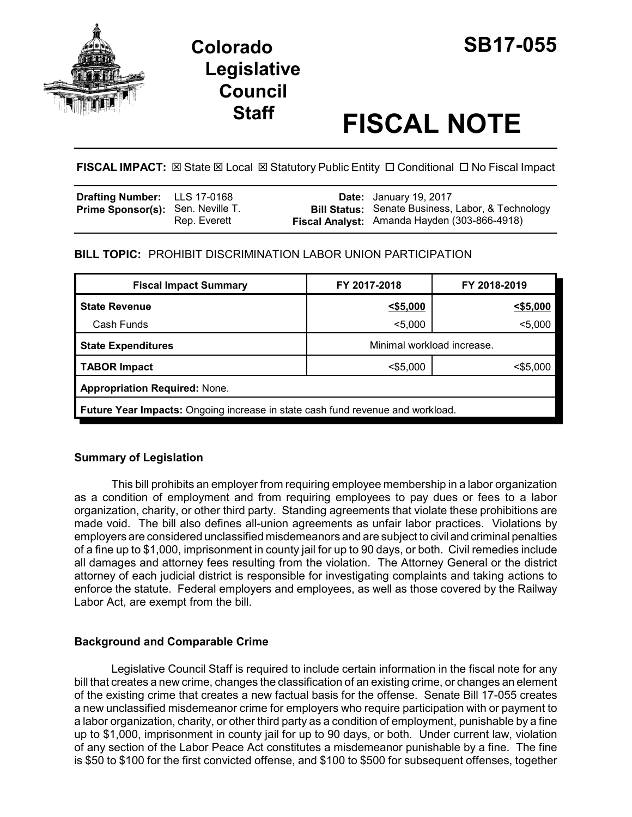

# **Colorado SB17-055 Legislative Council**

# **Staff FISCAL NOTE**

# **FISCAL IMPACT:**  $\boxtimes$  **State**  $\boxtimes$  **Local**  $\boxtimes$  **Statutory Public Entity □ Conditional □ No Fiscal Impact**

| <b>Drafting Number:</b> LLS 17-0168      |              | <b>Date:</b> January 19, 2017                                                                            |
|------------------------------------------|--------------|----------------------------------------------------------------------------------------------------------|
| <b>Prime Sponsor(s):</b> Sen. Neville T. | Rep. Everett | <b>Bill Status:</b> Senate Business, Labor, & Technology<br>Fiscal Analyst: Amanda Hayden (303-866-4918) |

# **BILL TOPIC:** PROHIBIT DISCRIMINATION LABOR UNION PARTICIPATION

| <b>Fiscal Impact Summary</b>                                                          | FY 2017-2018               | FY 2018-2019 |  |  |  |
|---------------------------------------------------------------------------------------|----------------------------|--------------|--|--|--|
| <b>State Revenue</b>                                                                  | 55,000                     | $<$ \$5,000  |  |  |  |
| Cash Funds                                                                            | $5,000$                    | $5,000$      |  |  |  |
| <b>State Expenditures</b>                                                             | Minimal workload increase. |              |  |  |  |
| <b>TABOR Impact</b>                                                                   | $<$ \$5,000                | $<$ \$5,000  |  |  |  |
| <b>Appropriation Required: None.</b>                                                  |                            |              |  |  |  |
| <b>Future Year Impacts:</b> Ongoing increase in state cash fund revenue and workload. |                            |              |  |  |  |

# **Summary of Legislation**

This bill prohibits an employer from requiring employee membership in a labor organization as a condition of employment and from requiring employees to pay dues or fees to a labor organization, charity, or other third party. Standing agreements that violate these prohibitions are made void. The bill also defines all-union agreements as unfair labor practices. Violations by employers are considered unclassified misdemeanors and are subject to civil and criminal penalties of a fine up to \$1,000, imprisonment in county jail for up to 90 days, or both. Civil remedies include all damages and attorney fees resulting from the violation. The Attorney General or the district attorney of each judicial district is responsible for investigating complaints and taking actions to enforce the statute. Federal employers and employees, as well as those covered by the Railway Labor Act, are exempt from the bill.

# **Background and Comparable Crime**

Legislative Council Staff is required to include certain information in the fiscal note for any bill that creates a new crime, changes the classification of an existing crime, or changes an element of the existing crime that creates a new factual basis for the offense. Senate Bill 17-055 creates a new unclassified misdemeanor crime for employers who require participation with or payment to a labor organization, charity, or other third party as a condition of employment, punishable by a fine up to \$1,000, imprisonment in county jail for up to 90 days, or both. Under current law, violation of any section of the Labor Peace Act constitutes a misdemeanor punishable by a fine. The fine is \$50 to \$100 for the first convicted offense, and \$100 to \$500 for subsequent offenses, together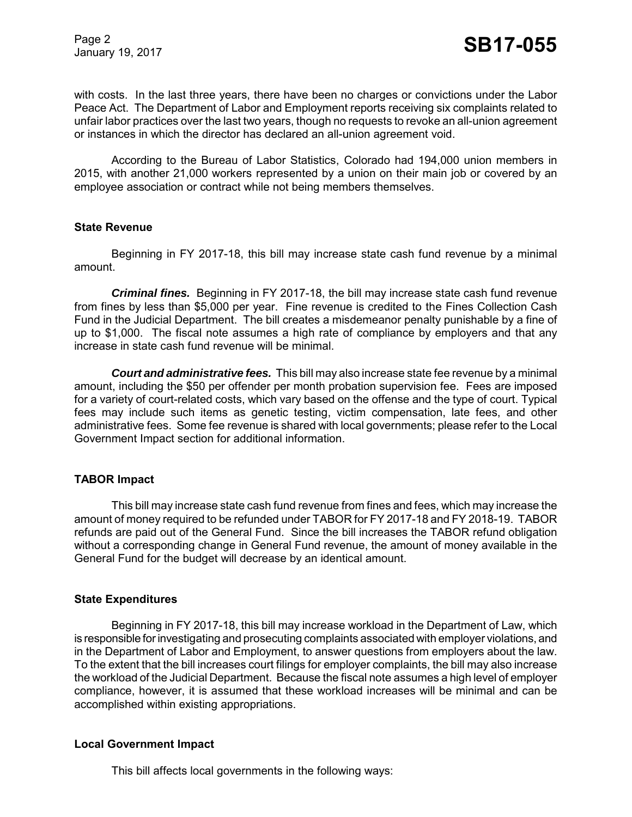Page 2

with costs. In the last three years, there have been no charges or convictions under the Labor Peace Act. The Department of Labor and Employment reports receiving six complaints related to unfair labor practices over the last two years, though no requests to revoke an all-union agreement or instances in which the director has declared an all-union agreement void.

According to the Bureau of Labor Statistics, Colorado had 194,000 union members in 2015, with another 21,000 workers represented by a union on their main job or covered by an employee association or contract while not being members themselves.

#### **State Revenue**

Beginning in FY 2017-18, this bill may increase state cash fund revenue by a minimal amount.

*Criminal fines.* Beginning in FY 2017-18, the bill may increase state cash fund revenue from fines by less than \$5,000 per year. Fine revenue is credited to the Fines Collection Cash Fund in the Judicial Department. The bill creates a misdemeanor penalty punishable by a fine of up to \$1,000. The fiscal note assumes a high rate of compliance by employers and that any increase in state cash fund revenue will be minimal.

*Court and administrative fees.*This bill may also increase state fee revenue by a minimal amount, including the \$50 per offender per month probation supervision fee. Fees are imposed for a variety of court-related costs, which vary based on the offense and the type of court. Typical fees may include such items as genetic testing, victim compensation, late fees, and other administrative fees. Some fee revenue is shared with local governments; please refer to the Local Government Impact section for additional information.

#### **TABOR Impact**

This bill may increase state cash fund revenue from fines and fees, which may increase the amount of money required to be refunded under TABOR for FY 2017-18 and FY 2018-19. TABOR refunds are paid out of the General Fund. Since the bill increases the TABOR refund obligation without a corresponding change in General Fund revenue, the amount of money available in the General Fund for the budget will decrease by an identical amount.

#### **State Expenditures**

Beginning in FY 2017-18, this bill may increase workload in the Department of Law, which is responsible for investigating and prosecuting complaints associated with employer violations, and in the Department of Labor and Employment, to answer questions from employers about the law. To the extent that the bill increases court filings for employer complaints, the bill may also increase the workload of the Judicial Department. Because the fiscal note assumes a high level of employer compliance, however, it is assumed that these workload increases will be minimal and can be accomplished within existing appropriations.

#### **Local Government Impact**

This bill affects local governments in the following ways: